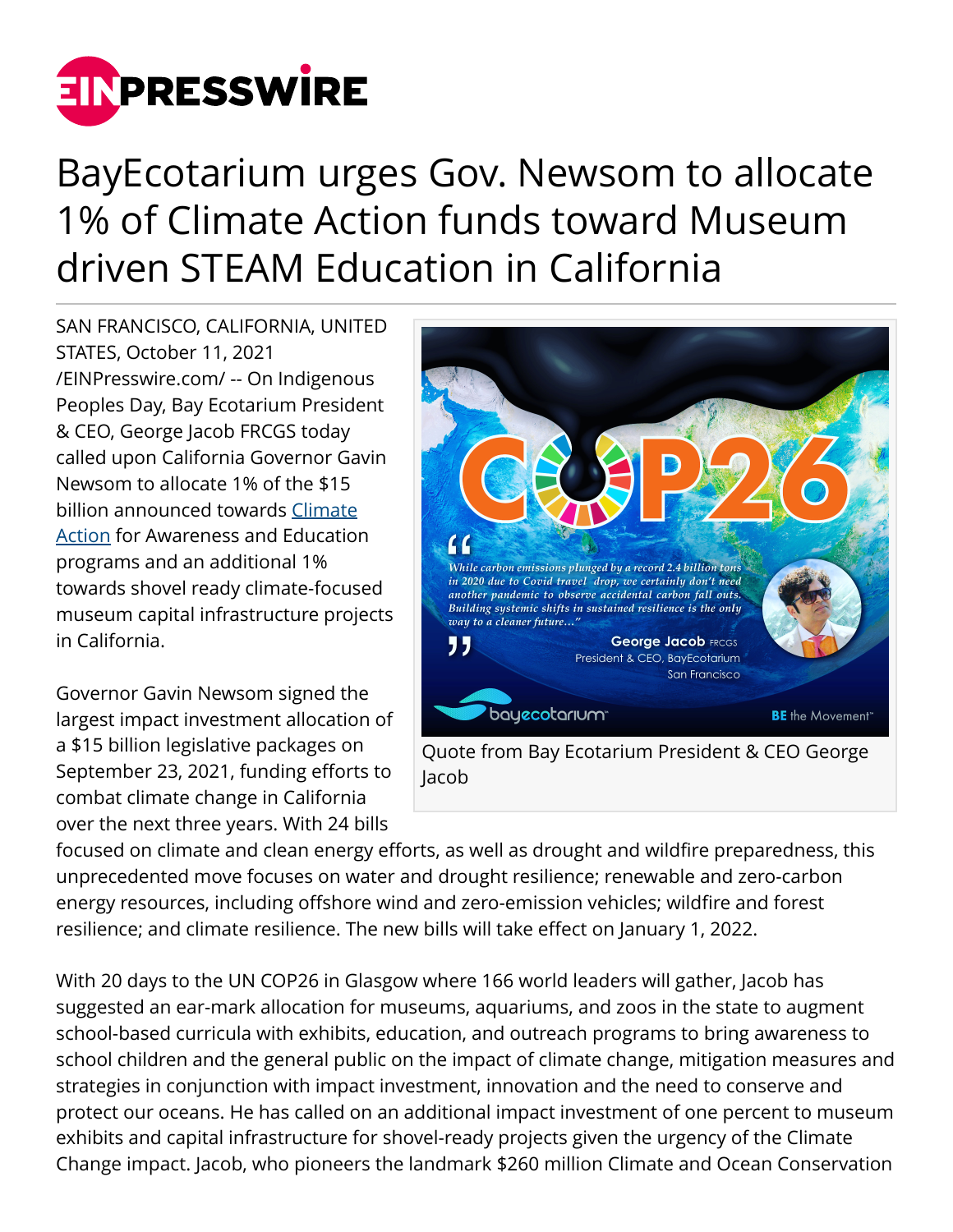

## BayEcotarium urges Gov. Newsom to allocate 1% of Climate Action funds toward Museum driven STEAM Education in California

SAN FRANCISCO, CALIFORNIA, UNITED STATES, October 11, 2021 [/EINPresswire.com/](http://www.einpresswire.com) -- On Indigenous Peoples Day, Bay Ecotarium President & CEO, George Jacob FRCGS today called upon California Governor Gavin Newsom to allocate 1% of the \$15 billion announced towards [Climate](http://bayecotarium.org) [Action](http://bayecotarium.org) for Awareness and Education programs and an additional 1% towards shovel ready climate-focused museum capital infrastructure projects in California.

Governor Gavin Newsom signed the largest impact investment allocation of a \$15 billion legislative packages on September 23, 2021, funding efforts to combat climate change in California over the next three years. With 24 bills



focused on climate and clean energy efforts, as well as drought and wildfire preparedness, this unprecedented move focuses on water and drought resilience; renewable and zero-carbon energy resources, including offshore wind and zero-emission vehicles; wildfire and forest resilience; and climate resilience. The new bills will take effect on January 1, 2022.

With 20 days to the UN COP26 in Glasgow where 166 world leaders will gather, Jacob has suggested an ear-mark allocation for museums, aquariums, and zoos in the state to augment school-based curricula with exhibits, education, and outreach programs to bring awareness to school children and the general public on the impact of climate change, mitigation measures and strategies in conjunction with impact investment, innovation and the need to conserve and protect our oceans. He has called on an additional impact investment of one percent to museum exhibits and capital infrastructure for shovel-ready projects given the urgency of the Climate Change impact. Jacob, who pioneers the landmark \$260 million Climate and Ocean Conservation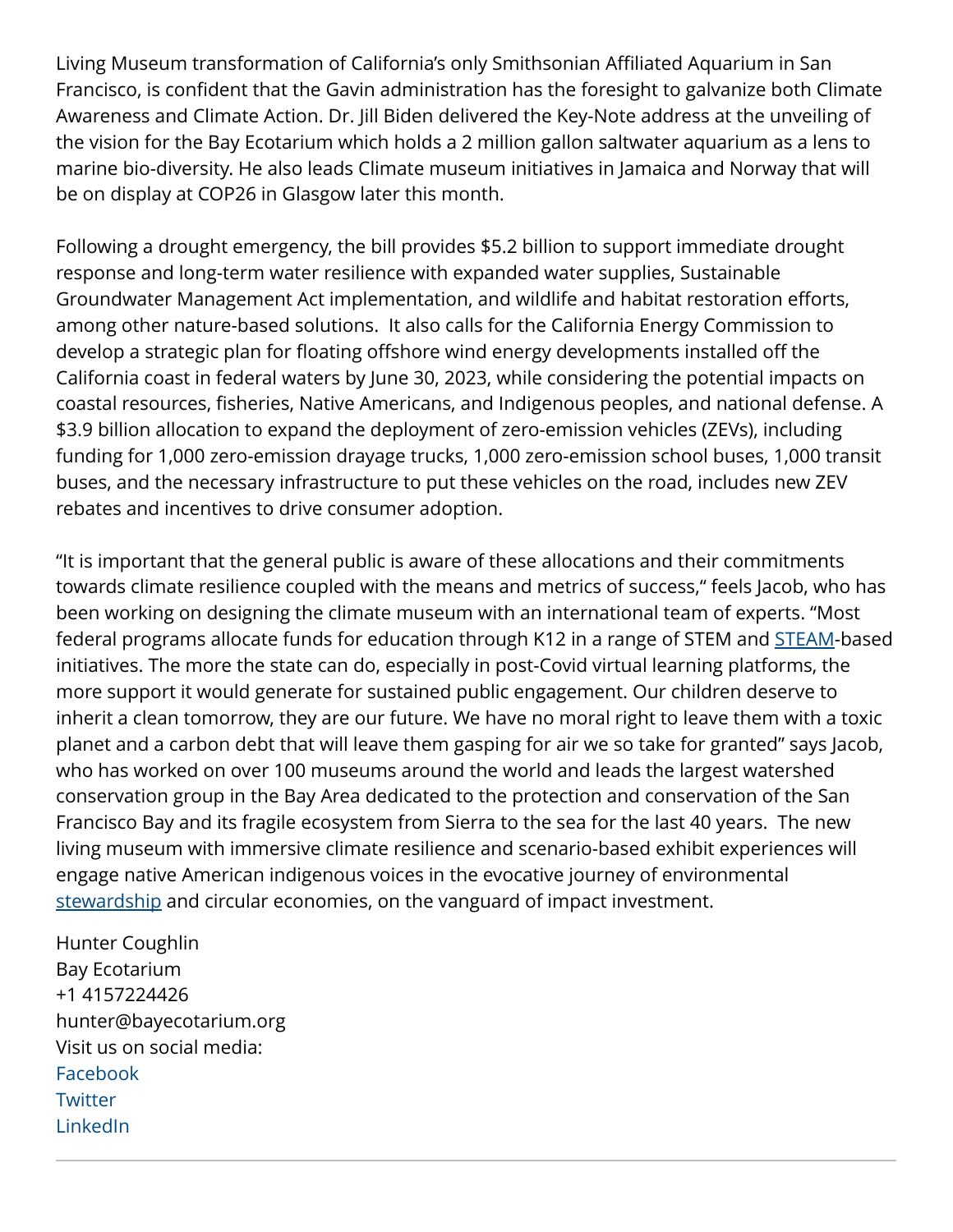Living Museum transformation of California's only Smithsonian Affiliated Aquarium in San Francisco, is confident that the Gavin administration has the foresight to galvanize both Climate Awareness and Climate Action. Dr. Jill Biden delivered the Key-Note address at the unveiling of the vision for the Bay Ecotarium which holds a 2 million gallon saltwater aquarium as a lens to marine bio-diversity. He also leads Climate museum initiatives in Jamaica and Norway that will be on display at COP26 in Glasgow later this month.

Following a drought emergency, the bill provides \$5.2 billion to support immediate drought response and long-term water resilience with expanded water supplies, Sustainable Groundwater Management Act implementation, and wildlife and habitat restoration efforts, among other nature-based solutions. It also calls for the California Energy Commission to develop a strategic plan for floating offshore wind energy developments installed off the California coast in federal waters by June 30, 2023, while considering the potential impacts on coastal resources, fisheries, Native Americans, and Indigenous peoples, and national defense. A \$3.9 billion allocation to expand the deployment of zero-emission vehicles (ZEVs), including funding for 1,000 zero-emission drayage trucks, 1,000 zero-emission school buses, 1,000 transit buses, and the necessary infrastructure to put these vehicles on the road, includes new ZEV rebates and incentives to drive consumer adoption.

"It is important that the general public is aware of these allocations and their commitments towards climate resilience coupled with the means and metrics of success," feels Jacob, who has been working on designing the climate museum with an international team of experts. "Most federal programs allocate funds for education through K12 in a range of STEM and **STEAM-based** initiatives. The more the state can do, especially in post-Covid virtual learning platforms, the more support it would generate for sustained public engagement. Our children deserve to inherit a clean tomorrow, they are our future. We have no moral right to leave them with a toxic planet and a carbon debt that will leave them gasping for air we so take for granted" says Jacob, who has worked on over 100 museums around the world and leads the largest watershed conservation group in the Bay Area dedicated to the protection and conservation of the San Francisco Bay and its fragile ecosystem from Sierra to the sea for the last 40 years. The new living museum with immersive climate resilience and scenario-based exhibit experiences will engage native American indigenous voices in the evocative journey of environmental [stewardship](http://bayecotarium.org) and circular economies, on the vanguard of impact investment.

Hunter Coughlin Bay Ecotarium +1 4157224426 hunter@bayecotarium.org Visit us on social media: [Facebook](https://facebook.com/aquariumofthebay) **[Twitter](https://twitter.com/aquariumothebay)** [LinkedIn](https://www.linkedin.com/company/aquarium-of-the-bay/)